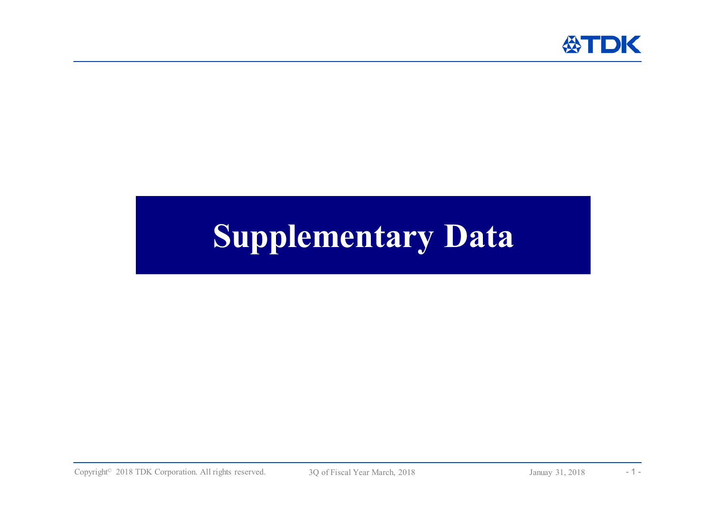

# **Supplementary Data**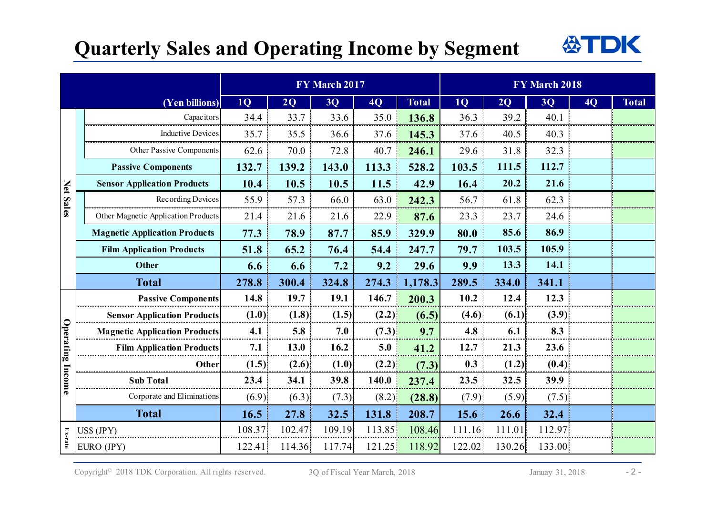### **Quarterly Sales and Operating Income by Segment**



|                  |                                      | FY March 2017 |        |        |        | FY March 2018 |                |        |        |           |              |
|------------------|--------------------------------------|---------------|--------|--------|--------|---------------|----------------|--------|--------|-----------|--------------|
|                  | (Yen billions)                       | <b>1Q</b>     | 2Q     | 3Q     | 4Q     | <b>Total</b>  | 1 <sub>Q</sub> | 2Q     | 3Q     | <b>4Q</b> | <b>Total</b> |
| Net Sales        | Capacitors                           | 34.4          | 33.7   | 33.6   | 35.0   | 136.8         | 36.3           | 39.2   | 40.1   |           |              |
|                  | <b>Inductive Devices</b>             | 35.7          | 35.5   | 36.6   | 37.6   | 145.3         | 37.6           | 40.5   | 40.3   |           |              |
|                  | Other Passive Components             | 62.6          | 70.0   | 72.8   | 40.7   | 246.1         | 29.6           | 31.8   | 32.3   |           |              |
|                  | <b>Passive Components</b>            | 132.7         | 139.2  | 143.0  | 113.3  | 528.2         | 103.5          | 111.5  | 112.7  |           |              |
|                  | <b>Sensor Application Products</b>   | 10.4          | 10.5   | 10.5   | 11.5   | 42.9          | 16.4           | 20.2   | 21.6   |           |              |
|                  | Recording Devices                    | 55.9          | 57.3   | 66.0   | 63.0   | 242.3         | 56.7           | 61.8   | 62.3   |           |              |
|                  | Other Magnetic Application Products  | 21.4          | 21.6   | 21.6   | 22.9   | 87.6          | 23.3           | 23.7   | 24.6   |           |              |
|                  | <b>Magnetic Application Products</b> | 77.3          | 78.9   | 87.7   | 85.9   | 329.9         | 80.0           | 85.6   | 86.9   |           |              |
|                  | <b>Film Application Products</b>     | 51.8          | 65.2   | 76.4   | 54.4   | 247.7         | 79.7           | 103.5  | 105.9  |           |              |
|                  | <b>Other</b>                         | 6.6           | 6.6    | 7.2    | 9.2    | 29.6          | 9.9            | 13.3   | 14.1   |           |              |
|                  | <b>Total</b>                         | 278.8         | 300.4  | 324.8  | 274.3  | 1,178.3       | 289.5          | 334.0  | 341.1  |           |              |
|                  | <b>Passive Components</b>            | 14.8          | 19.7   | 19.1   | 146.7  | 200.3         | 10.2           | 12.4   | 12.3   |           |              |
|                  | <b>Sensor Application Products</b>   | (1.0)         | (1.8)  | (1.5)  | (2.2)  | (6.5)         | (4.6)          | (6.1)  | (3.9)  |           |              |
| Operating Income | <b>Magnetic Application Products</b> | 4.1           | 5.8    | 7.0    | (7.3)  | 9.7           | 4.8            | 6.1    | 8.3    |           |              |
|                  | <b>Film Application Products</b>     | 7.1           | 13.0   | 16.2   | 5.0    | 41.2          | 12.7           | 21.3   | 23.6   |           |              |
|                  | Other                                | (1.5)         | (2.6)  | (1.0)  | (2.2)  | (7.3)         | 0.3            | (1.2)  | (0.4)  |           |              |
|                  | <b>Sub Total</b>                     | 23.4          | 34.1   | 39.8   | 140.0  | 237.4         | 23.5           | 32.5   | 39.9   |           |              |
|                  | Corporate and Eliminations           | (6.9)         | (6.3)  | (7.3)  | (8.2)  | (28.8)        | (7.9)          | (5.9)  | (7.5)  |           |              |
|                  | <b>Total</b>                         | 16.5          | 27.8   | 32.5   | 131.8  | 208.7         | 15.6           | 26.6   | 32.4   |           |              |
| Ex-rate          | $USS$ (JPY)                          | 108.37        | 102.47 | 109.19 | 113.85 | 108.46        | 111.16         | 111.01 | 112.97 |           |              |
|                  | EURO (JPY)                           | 122.41        | 114.36 | 117.74 | 121.25 | 118.92        | 122.02         | 130.26 | 133.00 |           |              |

Copyright<sup>©</sup> 2018 TDK Corporation. All rights reserved. 3Q of Fiscal Year March, 2018 Januay 31, 2018 - 2 -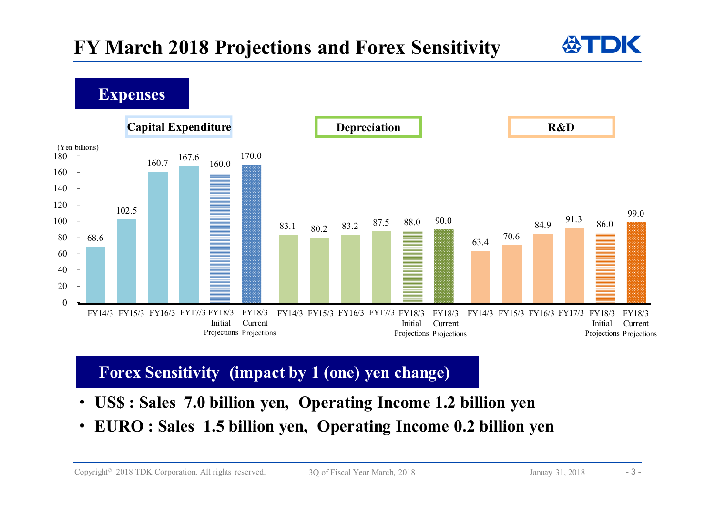68.683.163.4102.580.270.6160.783.22 8/.5 88.0  $2^{0.9}$  84.9 167.687.55 88.0 90.0  $\frac{13}{249}$  91.3 160.088.0 $84.9$   $86.0$ 170.090.099.0 $\theta$ 20406080100120140160180(Yen billions) **Capital Expenditure Depreciation R&D** FY14/3 FY15/3 FY16/3 FY17/3 FY18/3**Expenses** InitialProjections Projections FY18/33 FY14/3 FY15/3 FY16/3 FY17/3 FY18/3 FY18/3 FY14/3 FY15/3 FY16/3 FY17/3 CurrentInitialProjections Projections CurrentFY14/3 FY15/3 FY16/3 FY17/3 FY18/3 InitialProjections ProjectionsFY18/3Current

### **Forex Sensitivity (impact by 1 (one) yen change)**

- $\bullet$ **US\$ : Sales 7.0 billion yen, Operating Income 1.2 billion yen**
- $\bullet$ **EURO : Sales 1.5 billion yen, Operating Income 0.2 billion yen**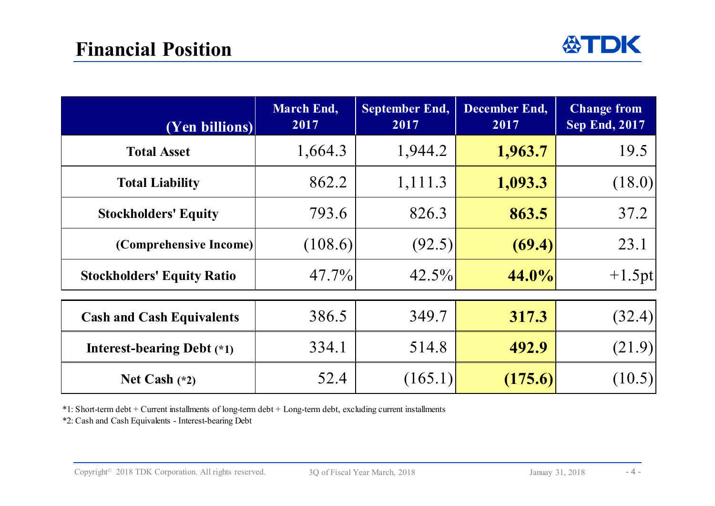| (Yen billions)                    | <b>March End,</b><br>2017 | September End,<br>2017 | <b>December End,</b><br>2017 | <b>Change from</b><br><b>Sep End, 2017</b> |
|-----------------------------------|---------------------------|------------------------|------------------------------|--------------------------------------------|
| <b>Total Asset</b>                | 1,664.3                   | 1,944.2                | 1,963.7                      | 19.5                                       |
| <b>Total Liability</b>            | 862.2                     | 1,111.3                | 1,093.3                      | (18.0)                                     |
| <b>Stockholders' Equity</b>       | 793.6                     | 826.3                  | 863.5                        | 37.2                                       |
| (Comprehensive Income)            | (108.6)                   | (92.5)                 | (69.4)                       | 23.1                                       |
| <b>Stockholders' Equity Ratio</b> | $47.7\%$                  | $42.5\%$               | 44.0%                        | $+1.5$ pt                                  |
| <b>Cash and Cash Equivalents</b>  | 386.5                     | 349.7                  | 317.3                        | (32.4)                                     |
| Interest-bearing Debt $(*1)$      | 334.1                     | 514.8                  | 492.9                        | (21.9)                                     |
| Net Cash $(*2)$                   | 52.4                      | (165.1)                | (175.6)                      | (10.5)                                     |

\*1: Short-term debt + Current installments of long-term debt + Long-term debt, excluding current installments

\*2: Cash and Cash Equivalents - Interest-bearing Debt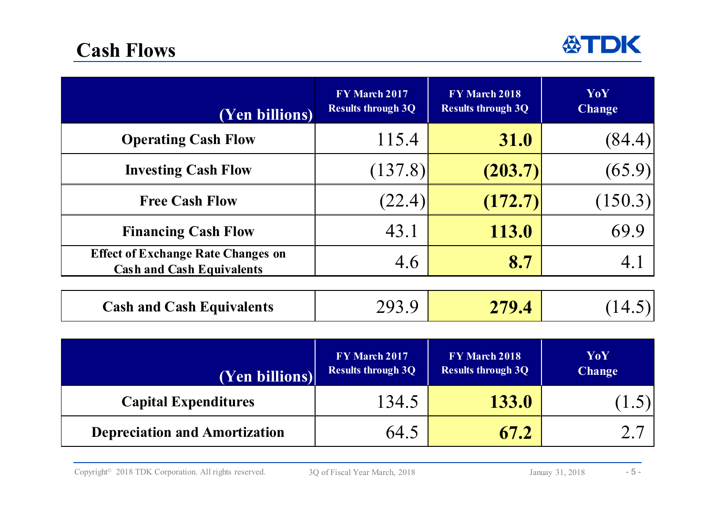

| (Yen billions)                                                                | FY March 2017<br><b>Results through 3Q</b> | FY March 2018<br><b>Results through 3Q</b> | YoY<br><b>Change</b> |
|-------------------------------------------------------------------------------|--------------------------------------------|--------------------------------------------|----------------------|
| <b>Operating Cash Flow</b>                                                    | 115.4                                      | <b>31.0</b>                                | (84.4)               |
| <b>Investing Cash Flow</b>                                                    | (137.8)                                    | (203.7)                                    | (65.9)               |
| <b>Free Cash Flow</b>                                                         | (22.4)                                     | (172.7)                                    | (150.3)              |
| <b>Financing Cash Flow</b>                                                    | 43.1                                       | 113.0                                      | 69.9                 |
| <b>Effect of Exchange Rate Changes on</b><br><b>Cash and Cash Equivalents</b> | 4.6                                        | 8.7                                        | 4.1                  |
| <b>Cash and Cash Equivalents</b>                                              | 293.9                                      | 279.4                                      | 14.5                 |

| (Yen billions)                       | FY March 2017<br><b>Results through 3Q</b> | FY March 2018<br><b>Results through 3Q</b> | YoY<br><b>Change</b> |
|--------------------------------------|--------------------------------------------|--------------------------------------------|----------------------|
| <b>Capital Expenditures</b>          | 134.5                                      | <b>133.0</b>                               |                      |
| <b>Depreciation and Amortization</b> | 64.5                                       | 67.2                                       |                      |

Copyright<sup>©</sup> 2018 TDK Corporation. All rights reserved. 3Q of Fiscal Year March, 2018 Januay 31, 2018 - 5 -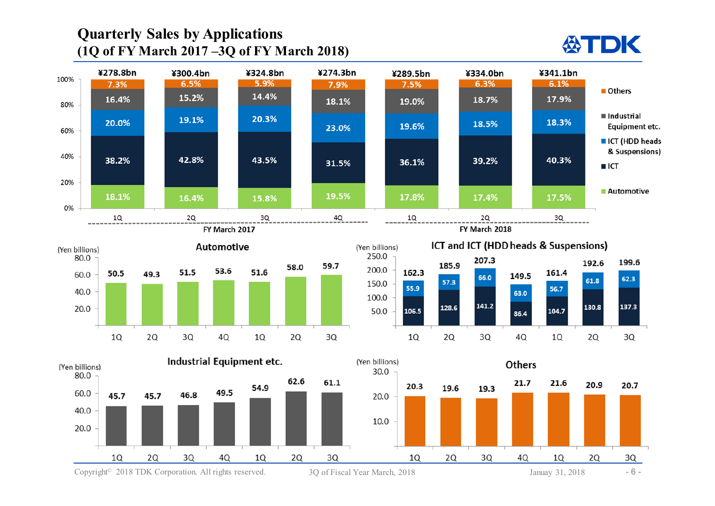#### **Quarterly Sales by Applications (1Q of FY March 2017 –3Q of FY March 2018)**



Copyright<sup>©</sup> 2018 TDK Corporation. All rights reserved. 3Q of Fiscal Year March, 2018 Januay 31, 2018 - 6 -

**公TDK**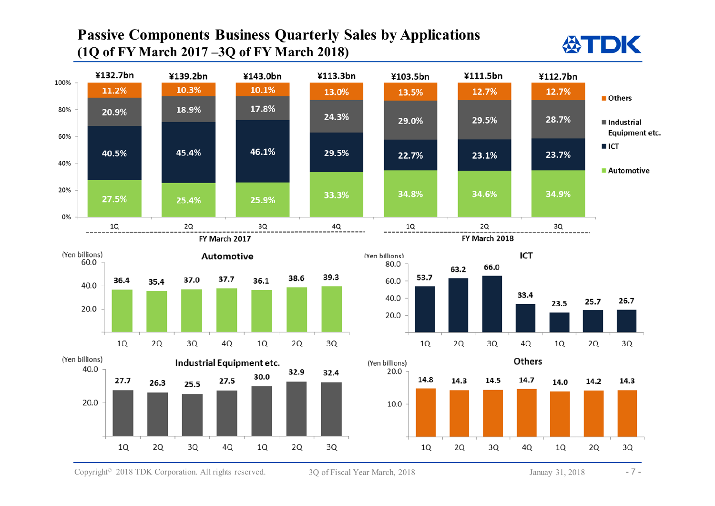#### **Passive Components Business Quarterly Sales by Applications (1Q of FY March 2017 –3Q of FY March 2018)**



Copyright<sup>©</sup> 2018 TDK Corporation. All rights reserved. 3Q of Fiscal Year March, 2018 Januay 31, 2018 -7 -

**公TDK**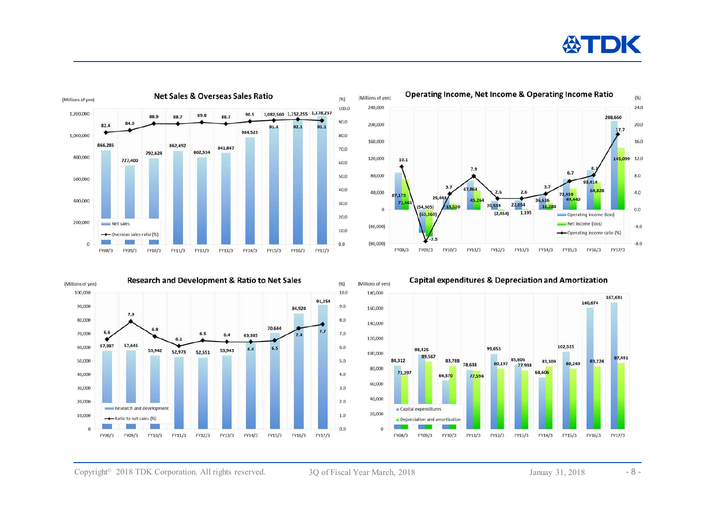## **ASTDK**









**Capital expenditures & Depreciation and Amortization** 

Copyright<sup>®</sup> 2018 TDK Corporation. All rights reserved. 3Q of Fiscal Year March, 2018 Januay 31, 2018 - 8 -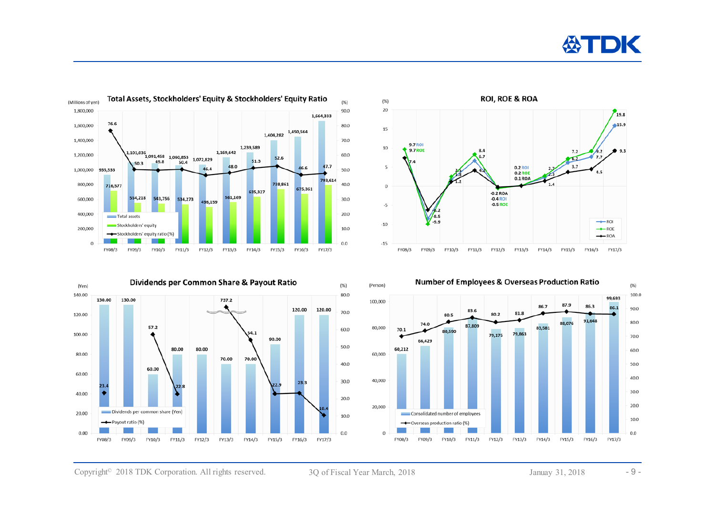









Copyright<sup>®</sup> 2018 TDK Corporation. All rights reserved. 3Q of Fiscal Year March, 2018 Januay 31, 2018 - 9 -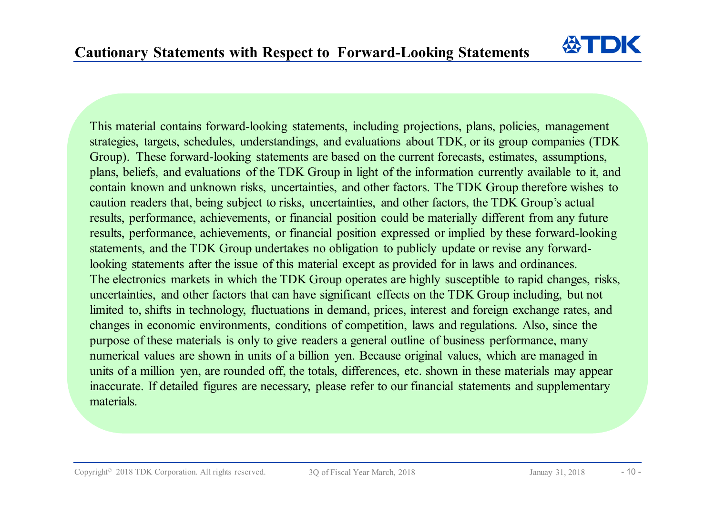公TD

This material contains forward-looking statements, including projections, plans, policies, management strategies, targets, schedules, understandings, and evaluations about TDK, or its group companies (TDK Group). These forward-looking statements are based on the current forecasts, estimates, assumptions, plans, beliefs, and evaluations of the TDK Group in light of the information currently available to it, and contain known and unknown risks, uncertainties, and other factors. The TDK Group therefore wishes to caution readers that, being subject to risks, uncertainties, and other factors, the TDK Group's actual results, performance, achievements, or financial position could be materially different from any future results, performance, achievements, or financial position expressed or implied by these forward-looking statements, and the TDK Group undertakes no obligation to publicly update or revise any forwardlooking statements after the issue of this material except as provided for in laws and ordinances. The electronics markets in which the TDK Group operates are highly susceptible to rapid changes, risks, uncertainties, and other factors that can have significant effects on the TDK Group including, but not limited to, shifts in technology, fluctuations in demand, prices, interest and foreign exchange rates, and changes in economic environments, conditions of competition, laws and regulations. Also, since the purpose of these materials is only to give readers a general outline of business performance, many numerical values are shown in units of a billion yen. Because original values, which are managed in units of a million yen, are rounded off, the totals, differences, etc. shown in these materials may appear inaccurate. If detailed figures are necessary, please refer to our financial statements and supplementary materials.